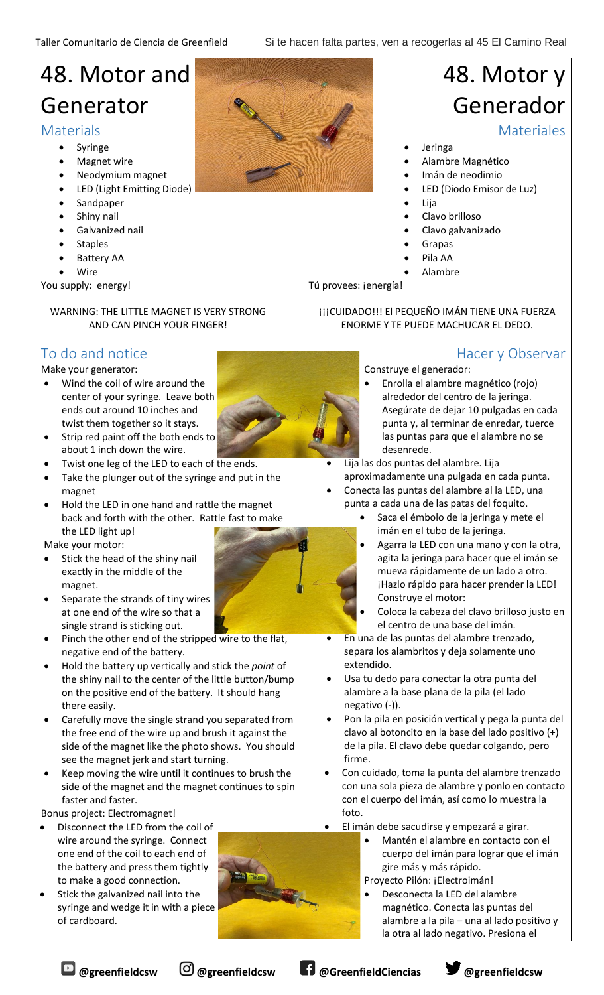## 48. Motor and Generator

#### **Materials**

- Syringe
- **Magnet wire**
- Neodymium magnet
- LED (Light Emitting Diode)
- **Sandpaper**
- Shiny nail
- Galvanized nail
- **Staples**
- Battery AA
- Wire

You supply: energy!

#### WARNING: THE LITTLE MAGNET IS VERY STRONG AND CAN PINCH YOUR FINGER!

## To do and notice

#### Make your generator:

- Wind the coil of wire around the center of your syringe. Leave both ends out around 10 inches and twist them together so it stays.
- Strip red paint off the both ends to about 1 inch down the wire.
- Twist one leg of the LED to each of the ends.
- Take the plunger out of the syringe and put in the magnet
- Hold the LED in one hand and rattle the magnet back and forth with the other. Rattle fast to make the LED light up!

Make your motor:

- Stick the head of the shiny nail exactly in the middle of the magnet.
- Separate the strands of tiny wires at one end of the wire so that a single strand is sticking out.
- Pinch the other end of the stripped wire to the flat, negative end of the battery.
- Hold the battery up vertically and stick the *point* of the shiny nail to the center of the little button/bump on the positive end of the battery. It should hang there easily.
- Carefully move the single strand you separated from the free end of the wire up and brush it against the side of the magnet like the photo shows. You should see the magnet jerk and start turning.
- Keep moving the wire until it continues to brush the side of the magnet and the magnet continues to spin faster and faster.

Bonus project: Electromagnet!

- Disconnect the LED from the coil of wire around the syringe. Connect one end of the coil to each end of the battery and press them tightly to make a good connection.
- Stick the galvanized nail into the syringe and wedge it in with a piece of cardboard.



# 48. Motor y Generador

**Materiales** 

- **Jeringa**
- Alambre Magnético
- Imán de neodimio
- LED (Diodo Emisor de Luz)
- Lija
- Clavo brilloso
- Clavo galvanizado
- **Grapas**
- Pila AA
- Alambre

**¡¡¡CUIDADO!!! El PEQUEÑO IMÁN TIENE UNA FUERZA** ENORME Y TE PUEDE MACHUCAR EL DEDO.

### Hacer y Observar

- Construye el generador:
	- Enrolla el alambre magnético (rojo) alrededor del centro de la jeringa. Asegúrate de dejar 10 pulgadas en cada punta y, al terminar de enredar, tuerce las puntas para que el alambre no se desenrede.

• Lija las dos puntas del alambre. Lija aproximadamente una pulgada en cada punta.

- Conecta las puntas del alambre al la LED, una punta a cada una de las patas del foquito.
	- Saca el émbolo de la jeringa y mete el imán en el tubo de la jeringa.
	- Agarra la LED con una mano y con la otra, agita la jeringa para hacer que el imán se mueva rápidamente de un lado a otro. ¡Hazlo rápido para hacer prender la LED! Construye el motor:
	- Coloca la cabeza del clavo brilloso justo en el centro de una base del imán.
- En una de las puntas del alambre trenzado, separa los alambritos y deja solamente uno extendido.
- Usa tu dedo para conectar la otra punta del alambre a la base plana de la pila (el lado negativo (-)).
- Pon la pila en posición vertical y pega la punta del clavo al botoncito en la base del lado positivo (+) de la pila. El clavo debe quedar colgando, pero firme.
- Con cuidado, toma la punta del alambre trenzado con una sola pieza de alambre y ponlo en contacto con el cuerpo del imán, así como lo muestra la foto.
- El imán debe sacudirse y empezará a girar.
	- Mantén el alambre en contacto con el cuerpo del imán para lograr que el imán gire más y más rápido.
	- Proyecto Pilón: ¡Electroimán!
		- Desconecta la LED del alambre magnético. Conecta las puntas del alambre a la pila – una al lado positivo y la otra al lado negativo. Presiona el







Tú provees: jenergía!